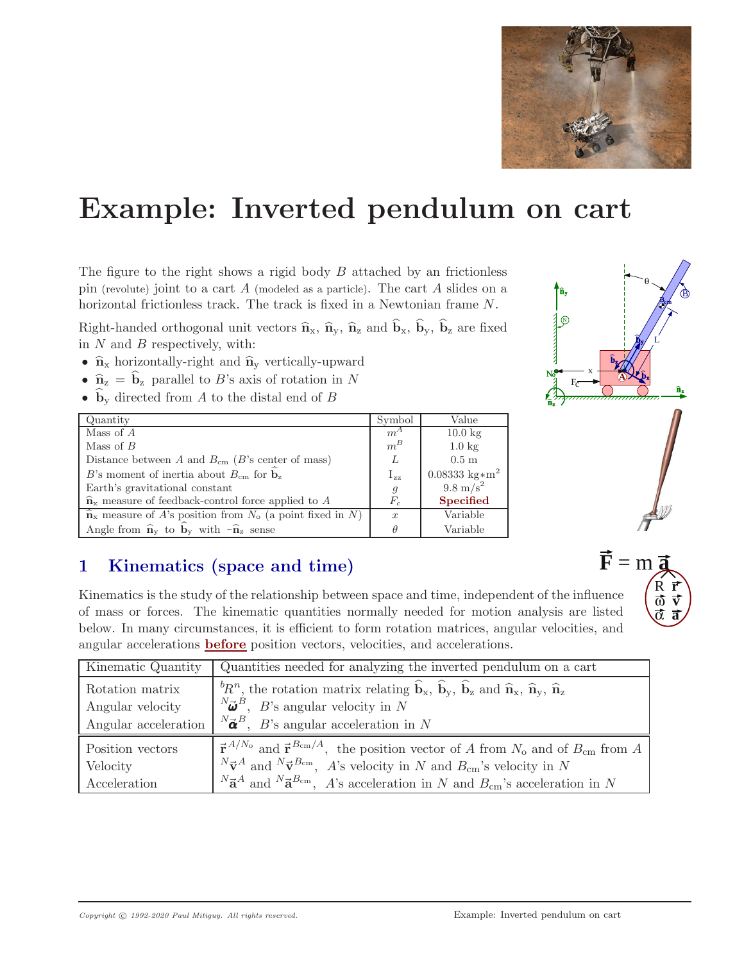

# **Example: Inverted pendulum on cart**

The figure to the right shows a rigid body  $B$  attached by an frictionless pin (revolute) joint to a cart A (modeled as a particle). The cart A slides on a horizontal frictionless track. The track is fixed in a Newtonian frame N.

Right-handed orthogonal unit vectors  $\hat{\mathbf{n}}_{x}$ ,  $\hat{\mathbf{n}}_{y}$ ,  $\hat{\mathbf{n}}_{z}$  and  $\hat{\mathbf{b}}_{x}$ ,  $\hat{\mathbf{b}}_{y}$ ,  $\hat{\mathbf{b}}_{z}$  are fixed in  $N$  and  $B$  respectively, with:

- $\hat{\mathbf{n}}_{x}$  horizontally-right and  $\hat{\mathbf{n}}_{y}$  vertically-upward
- $\hat{\mathbf{n}}_{z} = \hat{\mathbf{b}}_{z}$  parallel to *B*'s axis of rotation in N
- $\mathbf{b}_y$  directed from A to the distal end of B

| Quantity                                                                                       | Symbol           | Value                                 |  |
|------------------------------------------------------------------------------------------------|------------------|---------------------------------------|--|
| Mass of $A$                                                                                    | $m^A$            | $10.0$ kg                             |  |
| Mass of $B$                                                                                    | $m^B$            | $1.0 \text{ kg}$                      |  |
| Distance between A and $B_{cm}$ (B's center of mass)                                           | L                | 0.5 <sub>m</sub>                      |  |
| B's moment of inertia about $B_{\rm cm}$ for $\hat{\mathbf{b}}_{z}$                            | $I_{zz}$         | $0.08333 \text{ kg} \cdot \text{m}^2$ |  |
| Earth's gravitational constant                                                                 | $\mathfrak{g}$   | $9.8 \text{ m/s}^2$                   |  |
| $\hat{\mathbf{n}}_{x}$ measure of feedback-control force applied to A                          | $F_c$            | <b>Specified</b>                      |  |
| $\overline{\hat{\mathbf{n}}}_{x}$ measure of A's position from $N_o$ (a point fixed in N)      | $\boldsymbol{x}$ | Variable                              |  |
| Angle from $\hat{\mathbf{n}}_{v}$ to $\hat{\mathbf{b}}_{v}$ with $-\hat{\mathbf{n}}_{z}$ sense |                  | Variable                              |  |

## **1 Kinematics (space and time)**

Kinematics is the study of the relationship between space and time, independent of the influence of mass or forces. The kinematic quantities normally needed for motion analysis are listed below. In many circumstances, it is efficient to form rotation matrices, angular velocities, and angular accelerations **before** position vectors, velocities, and accelerations.

| Kinematic Quantity | Quantities needed for analyzing the inverted pendulum on a cart                                                                                                                      |
|--------------------|--------------------------------------------------------------------------------------------------------------------------------------------------------------------------------------|
| Rotation matrix    | ${}^{b}R^n$ , the rotation matrix relating $\hat{\mathbf{b}}_x$ , $\hat{\mathbf{b}}_y$ , $\hat{\mathbf{b}}_z$ and $\hat{\mathbf{n}}_x$ , $\hat{\mathbf{n}}_y$ , $\hat{\mathbf{n}}_z$ |
| Angular velocity   | ${}^{N}\vec{\omega}^{B}$ , <i>B</i> 's angular velocity in <i>N</i>                                                                                                                  |
|                    | Angular acceleration $\begin{bmatrix} N\vec{\boldsymbol{\alpha}}^B, B' \end{bmatrix}$ angular acceleration in N                                                                      |
| Position vectors   | $\vec{r}^{A/N_o}$ and $\vec{r}^{B_{cm}/A}$ , the position vector of A from $N_o$ and of $B_{cm}$ from A                                                                              |
| Velocity           | ${}^N\vec{\mathbf{v}}^A$ and ${}^N\vec{\mathbf{v}}^{B_{\text{cm}}}$ , A's velocity in N and $B_{\text{cm}}$ 's velocity in N                                                         |
| Acceleration       | ${}^N\vec{a}^A$ and ${}^N\vec{a}^{B_{\text{cm}}}$ , A's acceleration in N and $B_{\text{cm}}$ 's acceleration in N                                                                   |



R **r** ω **v** α **a**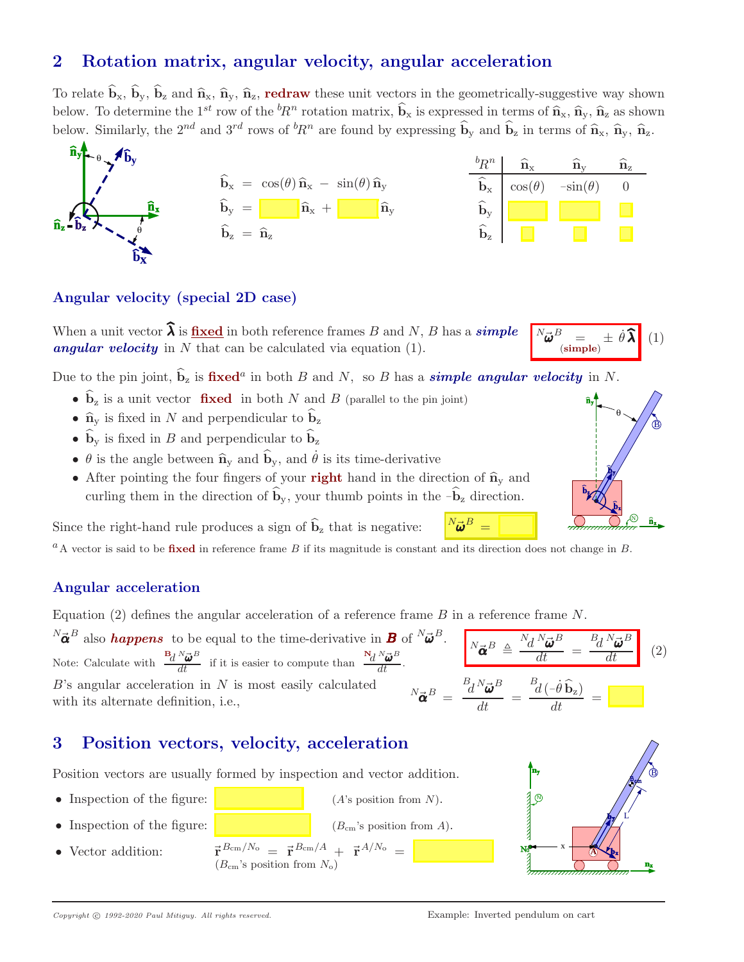## **2 Rotation matrix, angular velocity, angular acceleration**

To relate  $\hat{\mathbf{b}}_{x}$ ,  $\hat{\mathbf{b}}_{y}$ ,  $\hat{\mathbf{b}}_{z}$  and  $\hat{\mathbf{n}}_{x}$ ,  $\hat{\mathbf{n}}_{y}$ ,  $\hat{\mathbf{n}}_{z}$ , **redraw** these unit vectors in the geometrically-suggestive way shown below. To determine the 1<sup>st</sup> row of the  ${}^b R^n$  rotation matrix,  $\hat{\mathbf{b}}_x$  is expressed in terms of  $\hat{\mathbf{n}}_x$ ,  $\hat{\mathbf{n}}_y$ ,  $\hat{\mathbf{n}}_z$  as shown below. Similarly, the  $2^{nd}$  and  $3^{rd}$  rows of  ${}^b R^n$  are found by expressing  $\hat{\mathbf{b}}_y$  and  $\hat{\mathbf{b}}_z$  in terms of  $\hat{\mathbf{n}}_x$ ,  $\hat{\mathbf{n}}_y$ ,  $\hat{\mathbf{n}}_z$ .



#### **Angular velocity (special 2D case)**

When a unit vector  $\hat{\lambda}$  is <u>fixed</u> in both reference frames B and N, B has a *simple angular velocity* in N that can be calculated via equation (1).

Due to the pin joint,  $\hat{\mathbf{b}}_z$  is **fixed**<sup>*a*</sup> in both *B* and *N*, so *B* has a *simple angular velocity* in *N*.

- $\hat{\mathbf{b}}_z$  is a unit vector **fixed** in both N and B (parallel to the pin joint)
- $\hat{\mathbf{n}}_{\mathbf{y}}$  is fixed in N and perpendicular to  $\hat{\mathbf{b}}_{\mathbf{z}}$
- $\hat{\mathbf{b}}_{y}$  is fixed in B and perpendicular to  $\hat{\mathbf{b}}_{z}$
- $\theta$  is the angle between  $\hat{\mathbf{n}}_y$  and  $\hat{\mathbf{b}}_y$ , and  $\hat{\theta}$  is its time-derivative
- After pointing the four fingers of your **right** hand in the direction of  $\hat{\mathbf{n}}_{\mathbf{y}}$  and curling them in the direction of  $\hat{\mathbf{b}}_v$ , your thumb points in the  $-\hat{\mathbf{b}}_z$  direction.

Since the right-hand rule produces a sign of  $\hat{b}_z$  that is negative:

 ${}^a$ A vector is said to be **fixed** in reference frame B if its magnitude is constant and its direction does not change in B.

#### **Angular acceleration**

Equation (2) defines the angular acceleration of a reference frame  $B$  in a reference frame  $N$ .

 ${}^{N}\vec{\boldsymbol{\alpha}}^{B}$  also **happens** to be equal to the time-derivative in **B** of  ${}^{N}\vec{\boldsymbol{\omega}}^{B}$ . Note: Calculate with  $\frac{B_d N_{\vec{\omega}}^B}{dt}$  if it is easier to compute than  $\frac{N_d N_{\vec{\omega}}^B}{dt}$ .  $N_{\vec{\boldsymbol{\alpha}}}B \triangleq \frac{N_d N_{\vec{\boldsymbol{\omega}}}B}{dt}$  $\frac{u}{dt}$  = B  $d^N\bar{a}$  $\vec{\bm{\omega}}^B$  $(2)$  $B$ 's angular acceleration in  $N$  is most easily calculated with its alternate definition, i.e.,  $N_{\vec{\alpha}}{}^{B} =$  $B_d N_{\vec{\boldsymbol{\omega}}} B$  $\frac{d}{dt} =$  $\frac{\frac{B_d}{d}(-\dot{\theta}\,\widehat{\mathbf{b}}_{\mathbf{z}})}{dt} =$ 

## **3 Position vectors, velocity, acceleration**

Position vectors are usually formed by inspection and vector addition.

- Inspection of the figure:  $(A)$ 's position from N).
- Inspection of the figure:  $(B_{cm}$ 's position from A).
- 
- Vector addition:  $\vec{r}^{B_{\text{cm}}/N_o} = \vec{r}^{B_{\text{cm}}/A} + \vec{r}^{A/N_o} =$ <br>(*B*<sub>cm</sub>'s position from  $N_o$ )





 $\pm$   $\dot{\theta}$   $\lambda$ 

 $(1)$ 

 $N_{\vec{\boldsymbol{u}}\vec{\boldsymbol{v}}}B$ 

 $N_{\vec{\bm{\omega}}^B}$  –

 $\int \limits_{(\text{simple})}^{0}$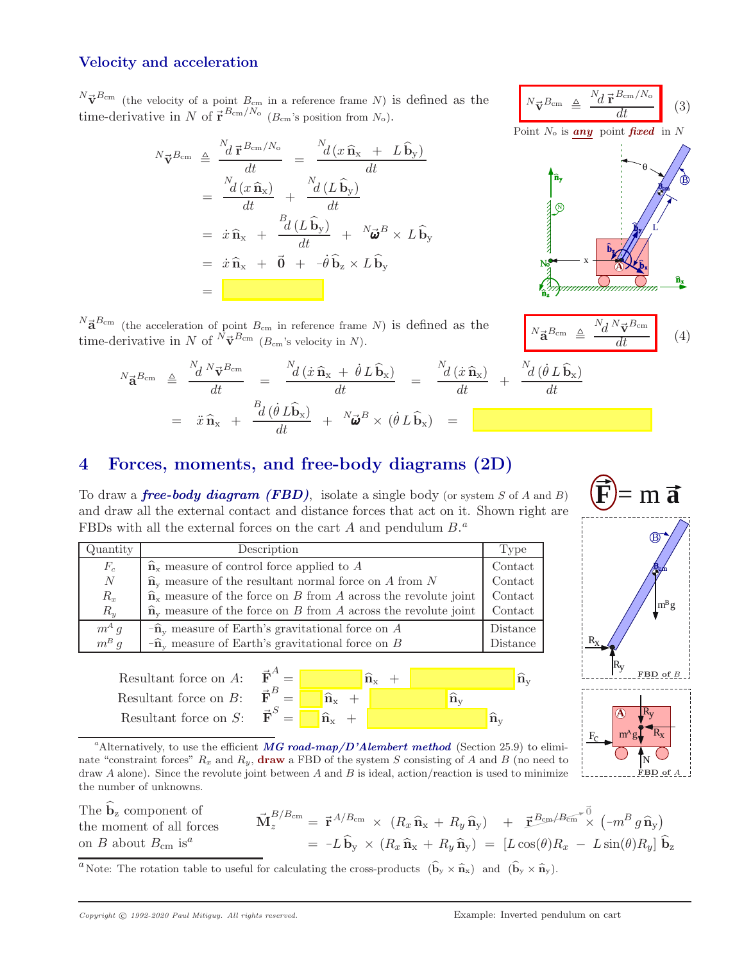#### **Velocity and acceleration**

 $N\vec{v}^{B_{\text{cm}}}$  (the velocity of a point  $B_{\text{cm}}$  in a reference frame N) is defined as the time-derivative in N of  $\vec{r}^{B_{\text{cm}}/N_{\text{o}}}$  ( $B_{\text{cm}}$ 's position from  $N_{\text{o}}$ ).

$$
{}^{N}\vec{\mathbf{v}}^{B_{\text{cm}}} \triangleq \frac{{}^{N}d\vec{\mathbf{r}}^{B_{\text{cm}}/N_{\text{o}}}}{{}^{d}t} = \frac{{}^{N}d(x\,\hat{\mathbf{n}}_{x} + L\,\hat{\mathbf{b}}_{y})}{dt}
$$
  

$$
= \frac{{}^{N}d(x\,\hat{\mathbf{n}}_{x})}{{}^{d}t} + \frac{{}^{N}d(L\,\hat{\mathbf{b}}_{y})}{{}^{d}t}
$$
  

$$
= \dot{x}\,\hat{\mathbf{n}}_{x} + \frac{{}^{B}d(L\,\hat{\mathbf{b}}_{y})}{{}^{d}t} + {}^{N}\vec{\boldsymbol{\omega}}^{B} \times L\,\hat{\mathbf{b}}_{y}
$$
  

$$
= \dot{x}\,\hat{\mathbf{n}}_{x} + \vec{0} + -\dot{\theta}\,\hat{\mathbf{b}}_{z} \times L\,\hat{\mathbf{b}}_{y}
$$
  

$$
=
$$

 $N_{\vec{V}}B_{\text{cm}} \underline{\Delta}$  $N_d \vec{r}^{Bcm/N_d}$  $(3)$ Point N<sup>o</sup> is *any* point *fixed* in N θ L **A** B N x



 $N\vec{a}^{B_{\text{cm}}}$  (the acceleration of point  $B_{\text{cm}}$  in reference frame N) is defined as the **a** (the acceleration of point  $B_{cm}$  in reference frame N) is defined as the time-derivative in N of  ${}^N \vec{\mathbf{\sigma}}^{B_{cm}}$  ( $B_{cm}$ 's velocity in N).

$$
{}^{N}\vec{\mathbf{a}}^{B_{\text{cm}}} \triangleq \frac{{}^{N}d\;{}^{N}\vec{\mathbf{v}}^{B_{\text{cm}}} }{dt} = \frac{{}^{N}d\left(\dot{x}\,\hat{\mathbf{n}}_{x} + \dot{\theta}\,L\,\hat{\mathbf{b}}_{x}\right)}{dt} = \frac{{}^{N}d\left(\dot{x}\,\hat{\mathbf{n}}_{x}\right)}{dt} + \frac{{}^{N}d\left(\dot{\theta}\,L\,\hat{\mathbf{b}}_{x}\right)}{dt}
$$

$$
= \ddot{x}\,\hat{\mathbf{n}}_{x} + \frac{{}^{B}d\left(\dot{\theta}\,L\,\hat{\mathbf{b}}_{x}\right)}{dt} + {}^{N}\vec{\boldsymbol{\omega}}^{B} \times \left(\dot{\theta}\,L\,\hat{\mathbf{b}}_{x}\right) = \boxed{\mathbf{a}^{B_{\text{cm}}}}
$$

#### **4 Forces, moments, and free-body diagrams (2D)**

To draw a *free-body diagram (FBD)*, isolate a single body (or system S of A and B) and draw all the external contact and distance forces that act on it. Shown right are FBDs with all the external forces on the cart  $A$  and pendulum  $B$ .<sup>*a*</sup>

| Quantity | Description                                                                       | Type     |
|----------|-----------------------------------------------------------------------------------|----------|
| $F_c$    | $\hat{\mathbf{n}}_{x}$ measure of control force applied to A                      | Contact  |
| N        | $\hat{\mathbf{n}}_{v}$ measure of the resultant normal force on A from N          | Context  |
| $R_x$    | $\hat{\mathbf{n}}_{x}$ measure of the force on B from A across the revolute joint | Contact  |
| $R_{y}$  | $\hat{\mathbf{n}}_{v}$ measure of the force on B from A across the revolute joint | Contact  |
| $m^A g$  | $-\widehat{\mathbf{n}}_{v}$ measure of Earth's gravitational force on A           | Distance |
| $m^B g$  | $-\hat{\mathbf{n}}_{v}$ measure of Earth's gravitational force on B               | Distance |
|          |                                                                                   |          |





 $m\overline{a}$ 

B

<sup>a</sup>Alternatively, to use the efficient *MG road-map/D'Alembert method* (Section 25.9) to eliminate "constraint forces"  $R_x$  and  $R_y$ , **draw** a FBD of the system S consisting of A and B (no need to draw  $A$  alone). Since the revolute joint between  $A$  and  $B$  is ideal, action/reaction is used to minimize the number of unknowns.

The  $\hat{\mathbf{b}}_z$  component of the moment of all forces on B about  $B_{\rm cm}$  is<sup>a</sup>

 $\vec{\mathbf{M}}_z^{B/B_{\mathrm{cm}}} = \vec{\mathbf{r}}^{A/B_{\mathrm{cm}}} \times (R_x \, \widehat{\mathbf{n}}_{\mathrm{x}} + R_y \, \widehat{\mathbf{n}}_{\mathrm{y}}) \quad + \quad \vec{\mathbf{r}}^{B_{\mathrm{cm}}/B_{\mathrm{cm}} \leftarrow \vec{0}} \times (\neg m^B \, g \, \widehat{\mathbf{n}}_{\mathrm{y}})$  $= -L\hat{\mathbf{b}}_{\mathbf{v}} \times (R_x \hat{\mathbf{n}}_{\mathbf{x}} + R_y \hat{\mathbf{n}}_{\mathbf{v}}) = [L\cos(\theta)R_x - L\sin(\theta)R_y]\hat{\mathbf{b}}_{\mathbf{z}}$ 

<sup>*a*</sup> Note: The rotation table to useful for calculating the cross-products  $(\hat{\mathbf{b}}_y \times \hat{\mathbf{n}}_x)$  and  $(\hat{\mathbf{b}}_y \times \hat{\mathbf{n}}_y)$ .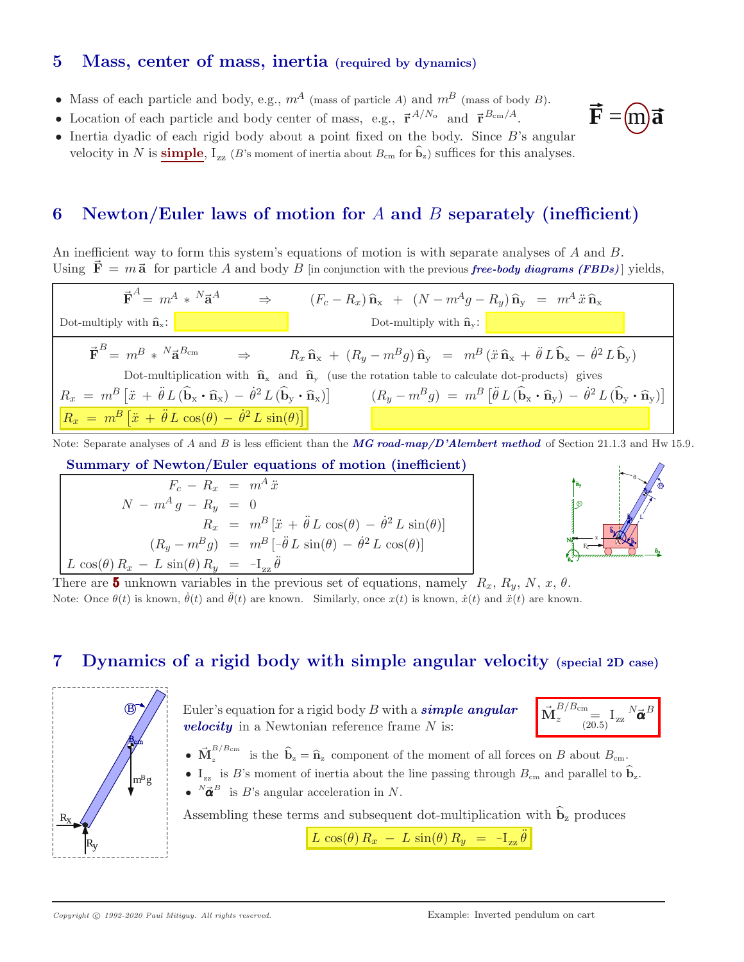#### **5 Mass, center of mass, inertia (required by dynamics)**

- Mass of each particle and body, e.g.,  $m^A$  (mass of particle A) and  $m^B$  (mass of body B).
- Location of each particle and body center of mass, e.g.,  $\vec{r}^{A/N_o}$  and  $\vec{r}^{B_{cm}/A}$ .
- Inertia dyadic of each rigid body about a point fixed on the body. Since B's angular velocity in N is **simple**,  $I_{zz}$  (B's moment of inertia about  $B_{cm}$  for  $\hat{b}_z$ ) suffices for this analyses.

## **6 Newton/Euler laws of motion for** *A* **and** *B* **separately (inefficient)**

An inefficient way to form this system's equations of motion is with separate analyses of A and B. Using  $\vec{F} = m\vec{a}$  for particle A and body B [in conjunction with the previous *free-body diagrams (FBDs)*] yields,



Note: Separate analyses of A and B is less efficient than the **MG road-map/D'Alembert method** of Section 21.1.3 and Hw 15.9.

**Summary of Newton/Euler equations of motion (inefficient)**

$$
F_c - R_x = m^A \ddot{x}
$$
  
\n
$$
N - m^A g - R_y = 0
$$
  
\n
$$
R_x = m^B [\ddot{x} + \ddot{\theta} L \cos(\theta) - \dot{\theta}^2 L \sin(\theta)]
$$
  
\n
$$
(R_y - m^B g) = m^B [-\ddot{\theta} L \sin(\theta) - \dot{\theta}^2 L \cos(\theta)]
$$
  
\n
$$
L \cos(\theta) R_x - L \sin(\theta) R_y = -I_{zz} \ddot{\theta}
$$



 $=$   $(m)\vec{a}$ 

There are **5** unknown variables in the previous set of equations, namely  $R_x, R_y, N, x, \theta$ . Note: Once  $\theta(t)$  is known,  $\dot{\theta}(t)$  and  $\ddot{\theta}(t)$  are known. Similarly, once  $x(t)$  is known,  $\dot{x}(t)$  and  $\ddot{x}(t)$  are known.

## **7 Dynamics of a rigid body with simple angular velocity (special 2D case)**



Euler's equation for a rigid body B with a *simple angular velocity* in a Newtonian reference frame N is:

$$
\vec{\mathbf{M}}^{B/B_{\mathrm{cm}}}_z\!\!\!=\!\!\mathbf{I}_{\mathrm{zz}}\,N\vec{\pmb{\alpha}}^B
$$

- $\vec{M}_z^{B/B_{\text{cm}}}$  is the  $\hat{b}_z = \hat{n}_z$  component of the moment of all forces on B about  $B_{\text{cm}}$ .
- $I_{zz}$  is B's moment of inertia about the line passing through  $B_{cm}$  and parallel to  $\widehat{b}_z$ .
- $^{N}\vec{\boldsymbol{\alpha}}^{B}$  is *B*'s angular acceleration in *N*.

Assembling these terms and subsequent dot-multiplication with  $\hat{\mathbf{b}}_z$  produces

 $\boxed{L \cos(\theta) R_x - L \sin(\theta) R_y = -I_{zz} \ddot{\theta}}$